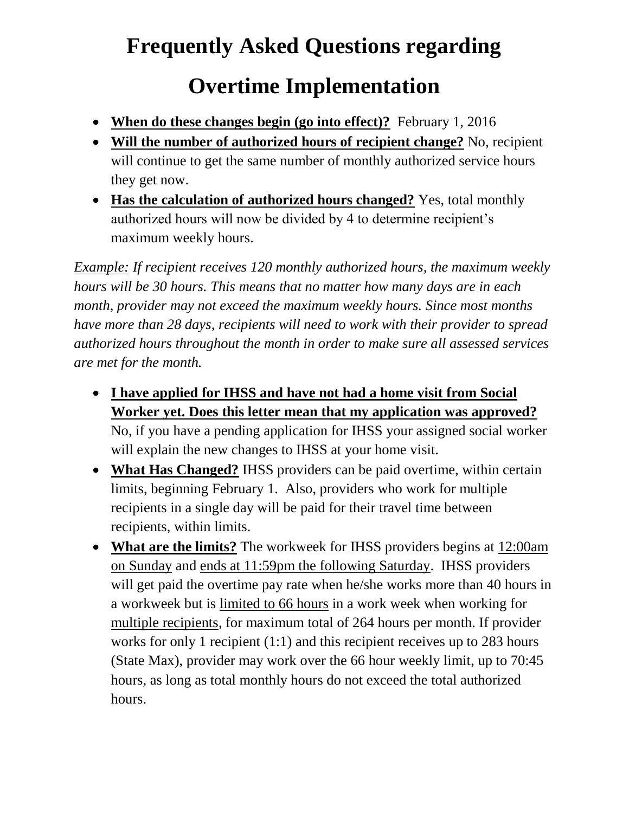## **Frequently Asked Questions regarding Overtime Implementation**

- When do these changes begin (go into effect)? February 1, 2016
- **Will the number of authorized hours of recipient change?** No, recipient will continue to get the same number of monthly authorized service hours they get now.
- **Has the calculation of authorized hours changed?** Yes, total monthly authorized hours will now be divided by 4 to determine recipient's maximum weekly hours.

*Example: If recipient receives 120 monthly authorized hours, the maximum weekly hours will be 30 hours. This means that no matter how many days are in each month, provider may not exceed the maximum weekly hours. Since most months have more than 28 days, recipients will need to work with their provider to spread authorized hours throughout the month in order to make sure all assessed services are met for the month.*

- **I have applied for IHSS and have not had a home visit from Social Worker yet. Does this letter mean that my application was approved?** No, if you have a pending application for IHSS your assigned social worker will explain the new changes to IHSS at your home visit.
- **What Has Changed?** IHSS providers can be paid overtime, within certain limits, beginning February 1. Also, providers who work for multiple recipients in a single day will be paid for their travel time between recipients, within limits.
- **What are the limits?** The workweek for IHSS providers begins at 12:00am on Sunday and ends at 11:59pm the following Saturday. IHSS providers will get paid the overtime pay rate when he/she works more than 40 hours in a workweek but is limited to 66 hours in a work week when working for multiple recipients, for maximum total of 264 hours per month. If provider works for only 1 recipient (1:1) and this recipient receives up to 283 hours (State Max), provider may work over the 66 hour weekly limit, up to 70:45 hours, as long as total monthly hours do not exceed the total authorized hours.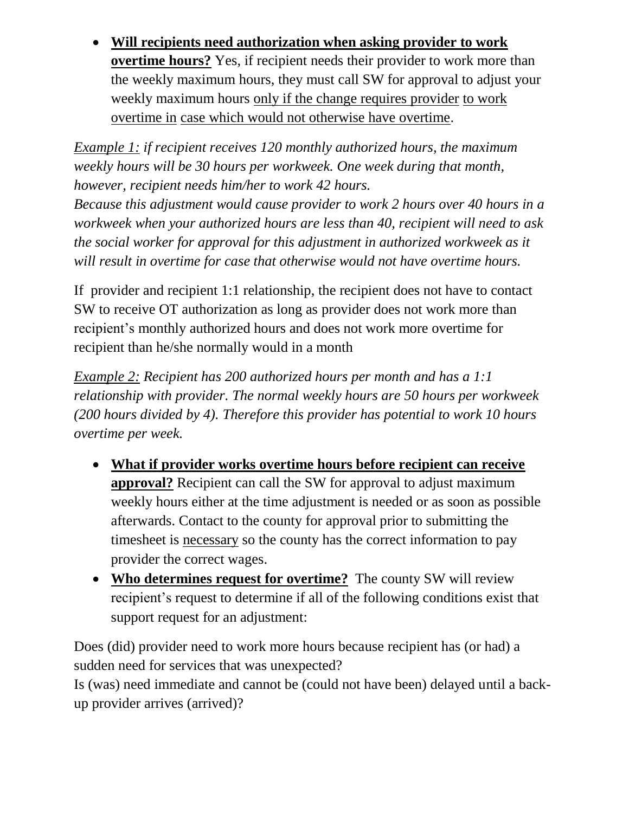**Will recipients need authorization when asking provider to work overtime hours?** Yes, if recipient needs their provider to work more than the weekly maximum hours, they must call SW for approval to adjust your weekly maximum hours only if the change requires provider to work overtime in case which would not otherwise have overtime.

*Example 1: if recipient receives 120 monthly authorized hours, the maximum weekly hours will be 30 hours per workweek. One week during that month, however, recipient needs him/her to work 42 hours.* 

*Because this adjustment would cause provider to work 2 hours over 40 hours in a workweek when your authorized hours are less than 40, recipient will need to ask the social worker for approval for this adjustment in authorized workweek as it will result in overtime for case that otherwise would not have overtime hours.*

If provider and recipient 1:1 relationship, the recipient does not have to contact SW to receive OT authorization as long as provider does not work more than recipient's monthly authorized hours and does not work more overtime for recipient than he/she normally would in a month

*Example 2: Recipient has 200 authorized hours per month and has a 1:1 relationship with provider. The normal weekly hours are 50 hours per workweek (200 hours divided by 4). Therefore this provider has potential to work 10 hours overtime per week.*

- **What if provider works overtime hours before recipient can receive approval?** Recipient can call the SW for approval to adjust maximum weekly hours either at the time adjustment is needed or as soon as possible afterwards. Contact to the county for approval prior to submitting the timesheet is necessary so the county has the correct information to pay provider the correct wages.
- **Who determines request for overtime?** The county SW will review recipient's request to determine if all of the following conditions exist that support request for an adjustment:

Does (did) provider need to work more hours because recipient has (or had) a sudden need for services that was unexpected?

Is (was) need immediate and cannot be (could not have been) delayed until a backup provider arrives (arrived)?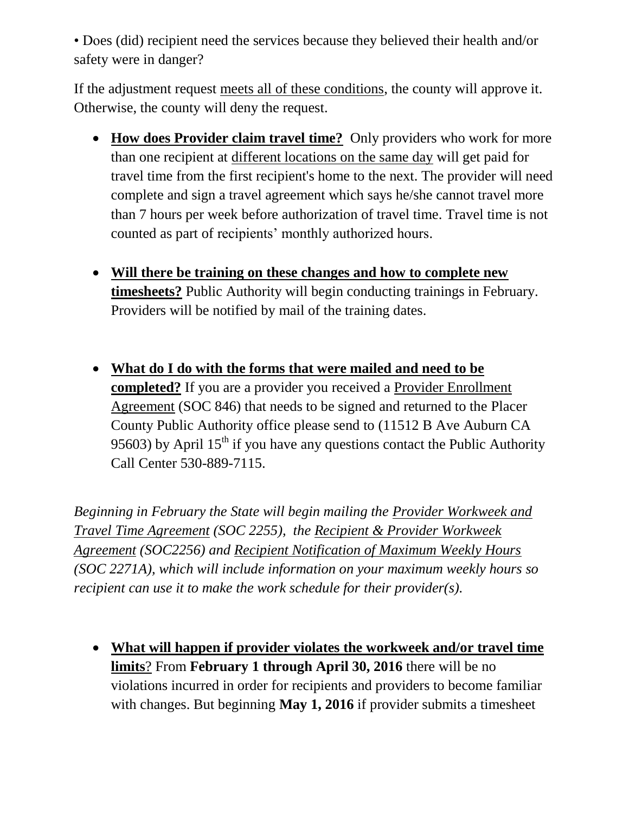• Does (did) recipient need the services because they believed their health and/or safety were in danger?

If the adjustment request meets all of these conditions, the county will approve it. Otherwise, the county will deny the request.

- **How does Provider claim travel time?** Only providers who work for more than one recipient at different locations on the same day will get paid for travel time from the first recipient's home to the next. The provider will need complete and sign a travel agreement which says he/she cannot travel more than 7 hours per week before authorization of travel time. Travel time is not counted as part of recipients' monthly authorized hours.
- **Will there be training on these changes and how to complete new timesheets?** Public Authority will begin conducting trainings in February. Providers will be notified by mail of the training dates.
- **What do I do with the forms that were mailed and need to be completed?** If you are a provider you received a Provider Enrollment Agreement (SOC 846) that needs to be signed and returned to the Placer County Public Authority office please send to (11512 B Ave Auburn CA 95603) by April  $15<sup>th</sup>$  if you have any questions contact the Public Authority Call Center 530-889-7115.

*Beginning in February the State will begin mailing the Provider Workweek and Travel Time Agreement (SOC 2255), the Recipient & Provider Workweek Agreement (SOC2256) and Recipient Notification of Maximum Weekly Hours (SOC 2271A), which will include information on your maximum weekly hours so recipient can use it to make the work schedule for their provider(s).*

 **What will happen if provider violates the workweek and/or travel time limits**? From **February 1 through April 30, 2016** there will be no violations incurred in order for recipients and providers to become familiar with changes. But beginning **May 1, 2016** if provider submits a timesheet